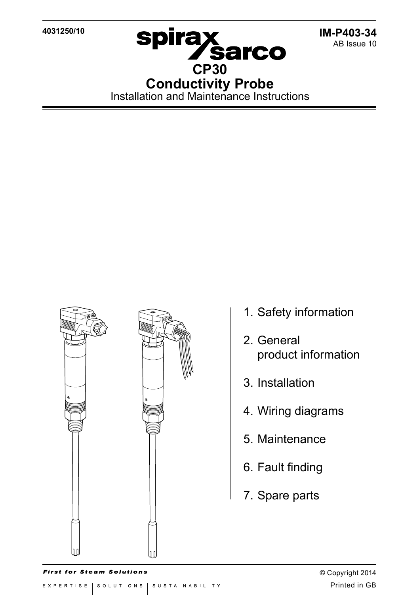**4031250/10**



**IM-P403-34** AB Issue 10

Installation and Maintenance Instructions



- 1. Safety information
- 2. General product information
- 3. Installation
- 4. Wiring diagrams
- 5. Maintenance
- 6. Fault finding
- 7. Spare parts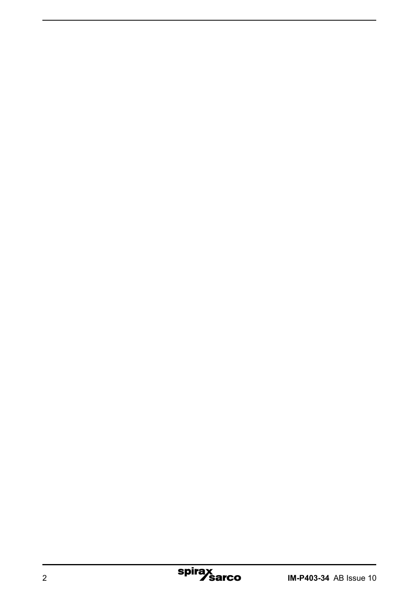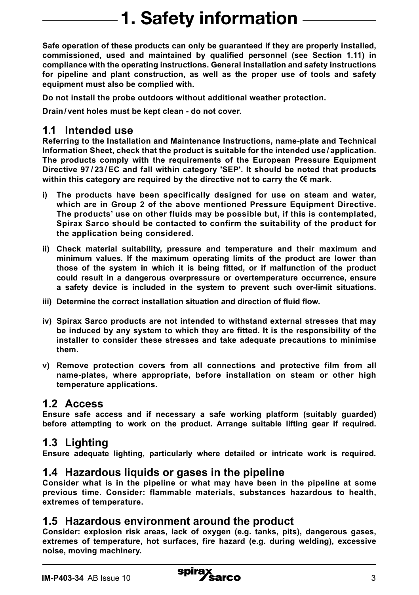# - 1. Safety information -

**Safe operation of these products can only be guaranteed if they are properly installed, commissioned, used and maintained by qualified personnel (see Section 1.11) in compliance with the operating instructions. General installation and safety instructions for pipeline and plant construction, as well as the proper use of tools and safety equipment must also be complied with.**

**Do not install the probe outdoors without additional weather protection.**

**Drain/ vent holes must be kept clean - do not cover.**

# **1.1 Intended use**

**Referring to the Installation and Maintenance Instructions, name-plate and Technical Information Sheet, check that the product is suitable for the intended use / application. The products comply with the requirements of the European Pressure Equipment Directive 97 / 23 /EC and fall within category 'SEP'. It should be noted that products**  within this category are required by the directive not to carry the  $\epsilon$  mark.

- **i) The products have been specifically designed for use on steam and water, which are in Group 2 of the above mentioned Pressure Equipment Directive. The products' use on other fluids may be possible but, if this is contemplated, Spirax Sarco should be contacted to confirm the suitability of the product for the application being considered.**
- **ii) Check material suitability, pressure and temperature and their maximum and minimum values. If the maximum operating limits of the product are lower than those of the system in which it is being fitted, or if malfunction of the product could result in a dangerous overpressure or overtemperature occurrence, ensure a safety device is included in the system to prevent such over-limit situations.**
- **iii) Determine the correct installation situation and direction of fluid flow.**
- **iv) Spirax Sarco products are not intended to withstand external stresses that may be induced by any system to which they are fitted. It is the responsibility of the installer to consider these stresses and take adequate precautions to minimise them.**
- **v) Remove protection covers from all connections and protective film from all name-plates, where appropriate, before installation on steam or other high temperature applications.**

## **1.2 Access**

**Ensure safe access and if necessary a safe working platform (suitably guarded) before attempting to work on the product. Arrange suitable lifting gear if required.**

## **1.3 Lighting**

**Ensure adequate lighting, particularly where detailed or intricate work is required.**

### **1.4 Hazardous liquids or gases in the pipeline**

**Consider what is in the pipeline or what may have been in the pipeline at some previous time. Consider: flammable materials, substances hazardous to health, extremes of temperature.**

### **1.5 Hazardous environment around the product**

**Consider: explosion risk areas, lack of oxygen (e.g. tanks, pits), dangerous gases, extremes of temperature, hot surfaces, fire hazard (e.g. during welding), excessive noise, moving machinery.**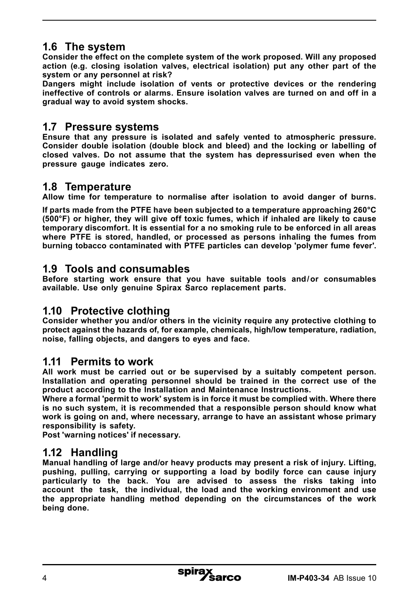# **1.6 The system**

**Consider the effect on the complete system of the work proposed. Will any proposed action (e.g. closing isolation valves, electrical isolation) put any other part of the system or any personnel at risk?** 

**Dangers might include isolation of vents or protective devices or the rendering ineffective of controls or alarms. Ensure isolation valves are turned on and off in a gradual way to avoid system shocks.**

#### **1.7 Pressure systems**

**Ensure that any pressure is isolated and safely vented to atmospheric pressure. Consider double isolation (double block and bleed) and the locking or labelling of closed valves. Do not assume that the system has depressurised even when the pressure gauge indicates zero.**

### **1.8 Temperature**

**Allow time for temperature to normalise after isolation to avoid danger of burns.**

**If parts made from the PTFE have been subjected to a temperature approaching 260°C (500°F) or higher, they will give off toxic fumes, which if inhaled are likely to cause temporary discomfort. It is essential for a no smoking rule to be enforced in all areas where PTFE is stored, handled, or processed as persons inhaling the fumes from burning tobacco contaminated with PTFE particles can develop 'polymer fume fever'.**

## **1.9 Tools and consumables**

**Before starting work ensure that you have suitable tools and/or consumables available. Use only genuine Spirax Sarco replacement parts.**

### **1.10 Protective clothing**

**Consider whether you and/or others in the vicinity require any protective clothing to protect against the hazards of, for example, chemicals, high/low temperature, radiation, noise, falling objects, and dangers to eyes and face.**

### **1.11 Permits to work**

**All work must be carried out or be supervised by a suitably competent person. Installation and operating personnel should be trained in the correct use of the product according to the Installation and Maintenance Instructions.**

**Where a formal 'permit to work' system is in force it must be complied with. Where there is no such system, it is recommended that a responsible person should know what work is going on and, where necessary, arrange to have an assistant whose primary responsibility is safety.**

**Post 'warning notices' if necessary.**

### **1.12 Handling**

**Manual handling of large and/or heavy products may present a risk of injury. Lifting, pushing, pulling, carrying or supporting a load by bodily force can cause injury particularly to the back. You are advised to assess the risks taking into account the task, the individual, the load and the working environment and use the appropriate handling method depending on the circumstances of the work being done.**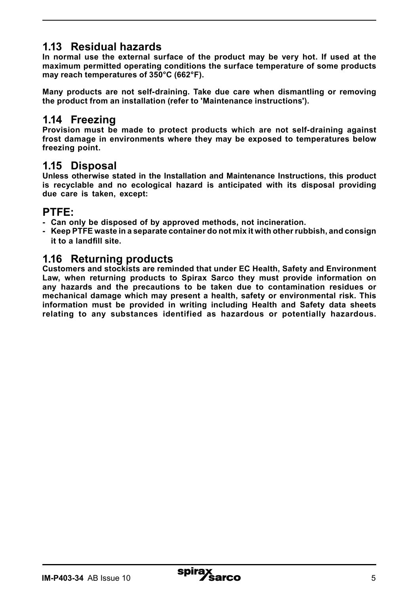## **1.13 Residual hazards**

**In normal use the external surface of the product may be very hot. If used at the maximum permitted operating conditions the surface temperature of some products may reach temperatures of 350°C (662°F).**

**Many products are not self-draining. Take due care when dismantling or removing the product from an installation (refer to 'Maintenance instructions').**

#### **1.14 Freezing**

**Provision must be made to protect products which are not self-draining against frost damage in environments where they may be exposed to temperatures below freezing point.**

#### **1.15 Disposal**

**Unless otherwise stated in the Installation and Maintenance Instructions, this product is recyclable and no ecological hazard is anticipated with its disposal providing due care is taken, except:**

#### **PTFE:**

- **- Can only be disposed of by approved methods, not incineration.**
- **- Keep PTFE waste in a separate container do not mix it with other rubbish, and consign it to a landfill site.**

#### **1.16 Returning products**

**Customers and stockists are reminded that under EC Health, Safety and Environment Law, when returning products to Spirax Sarco they must provide information on any hazards and the precautions to be taken due to contamination residues or mechanical damage which may present a health, safety or environmental risk. This information must be provided in writing including Health and Safety data sheets relating to any substances identified as hazardous or potentially hazardous.**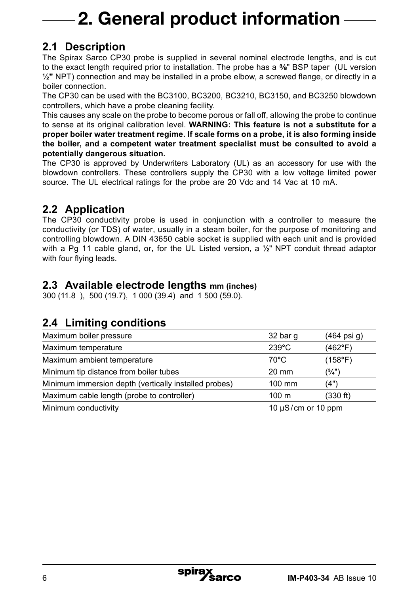# 2. General product information

# **2.1 Description**

The Spirax Sarco CP30 probe is supplied in several nominal electrode lengths, and is cut to the exact length required prior to installation. The probe has a  $\frac{3}{8}$ " BSP taper (UL version **½"** NPT) connection and may be installed in a probe elbow, a screwed flange, or directly in a boiler connection.

The CP30 can be used with the BC3100, BC3200, BC3210, BC3150, and BC3250 blowdown controllers, which have a probe cleaning facility.

This causes any scale on the probe to become porous or fall off, allowing the probe to continue to sense at its original calibration level. **WARNING: This feature is not a substitute for a proper boiler water treatment regime. If scale forms on a probe, it is also forming inside the boiler, and a competent water treatment specialist must be consulted to avoid a potentially dangerous situation.** 

The CP30 is approved by Underwriters Laboratory (UL) as an accessory for use with the blowdown controllers. These controllers supply the CP30 with a low voltage limited power source. The UL electrical ratings for the probe are 20 Vdc and 14 Vac at 10 mA.

# **2.2 Application**

The CP30 conductivity probe is used in conjunction with a controller to measure the conductivity (or TDS) of water, usually in a steam boiler, for the purpose of monitoring and controlling blowdown. A DIN 43650 cable socket is supplied with each unit and is provided with a Pg 11 cable gland, or, for the UL Listed version, a **½**" NPT conduit thread adaptor with four flying leads.

## **2.3 Available electrode lengths mm (inches)**

300 (11.8 ), 500 (19.7), 1 000 (39.4) and 1 500 (59.0).

## **2.4 Limiting conditions**

| Maximum boiler pressure                               | 32 bar q                | $(464 \text{ psi g})$ |
|-------------------------------------------------------|-------------------------|-----------------------|
| Maximum temperature                                   | $239^{\circ}$ C         | $(462^{\circ}F)$      |
| Maximum ambient temperature                           | 70°C                    | (158°F)               |
| Minimum tip distance from boiler tubes                | $20 \text{ mm}$         | (3/4")                |
| Minimum immersion depth (vertically installed probes) | 100 mm                  | (4")                  |
| Maximum cable length (probe to controller)            | 100 <sub>m</sub>        | (330 ft)              |
| Minimum conductivity                                  | 10 $\mu$ S/cm or 10 ppm |                       |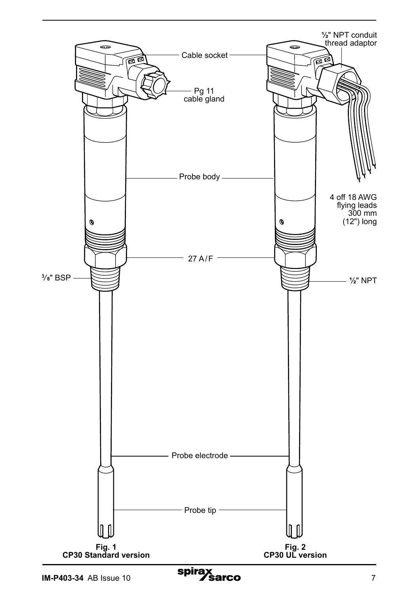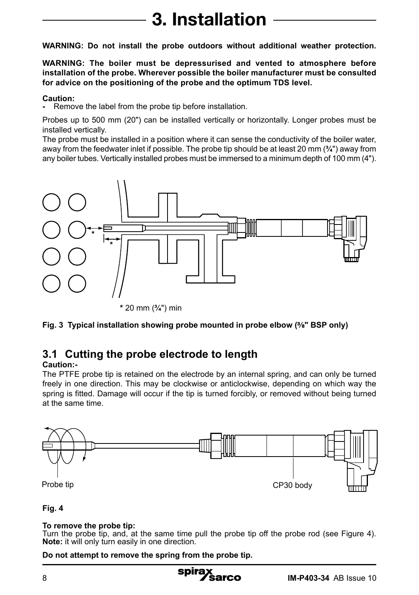# 3. Installation

**WARNING: Do not install the probe outdoors without additional weather protection.**

**WARNING: The boiler must be depressurised and vented to atmosphere before installation of the probe. Wherever possible the boiler manufacturer must be consulted for advice on the positioning of the probe and the optimum TDS level.**

#### **Caution:**

**-** Remove the label from the probe tip before installation.

Probes up to 500 mm (20") can be installed vertically or horizontally. Longer probes must be installed vertically.

The probe must be installed in a position where it can sense the conductivity of the boiler water, away from the feedwater inlet if possible. The probe tip should be at least 20 mm (**¾**") away from any boiler tubes. Vertically installed probes must be immersed to a minimum depth of 100 mm (4").



**\*** 20 mm (**¾**") min



# **3.1 Cutting the probe electrode to length**

#### **Caution:-**

The PTFE probe tip is retained on the electrode by an internal spring, and can only be turned freely in one direction. This may be clockwise or anticlockwise, depending on which way the spring is fitted. Damage will occur if the tip is turned forcibly, or removed without being turned at the same time.



#### **Fig. 4**

#### **To remove the probe tip:**

Turn the probe tip, and, at the same time pull the probe tip off the probe rod (see Figure 4). **Note:** it will only turn easily in one direction.

**Do not attempt to remove the spring from the probe tip.**

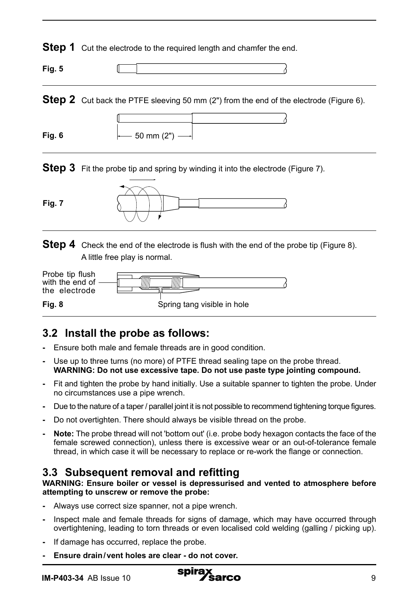**Step 1** Cut the electrode to the required length and chamfer the end.

**Step 2** Cut back the PTFE sleeving 50 mm (2") from the end of the electrode (Figure 6).



**Step 3** Fit the probe tip and spring by winding it into the electrode (Figure 7).



**Step 4** Check the end of the electrode is flush with the end of the probe tip (Figure 8). A little free play is normal.



# **3.2 Install the probe as follows:**

- **-** Ensure both male and female threads are in good condition.
- **-** Use up to three turns (no more) of PTFE thread sealing tape on the probe thread. **WARNING: Do not use excessive tape. Do not use paste type jointing compound.**
- **-** Fit and tighten the probe by hand initially. Use a suitable spanner to tighten the probe. Under no circumstances use a pipe wrench.
- **-** Due to the nature of a taper / parallel joint it is not possible to recommend tightening torque figures.
- **-** Do not overtighten. There should always be visible thread on the probe.
- **- Note:** The probe thread will not 'bottom out' (i.e. probe body hexagon contacts the face of the female screwed connection), unless there is excessive wear or an out-of-tolerance female thread, in which case it will be necessary to replace or re-work the flange or connection.

### **3.3 Subsequent removal and refitting**

**WARNING: Ensure boiler or vessel is depressurised and vented to atmosphere before attempting to unscrew or remove the probe:**

- **-** Always use correct size spanner, not a pipe wrench.
- **-** Inspect male and female threads for signs of damage, which may have occurred through overtightening, leading to torn threads or even localised cold welding (galling / picking up).
- **-** If damage has occurred, replace the probe.
- **- Ensure drain/vent holes are clear do not cover.**

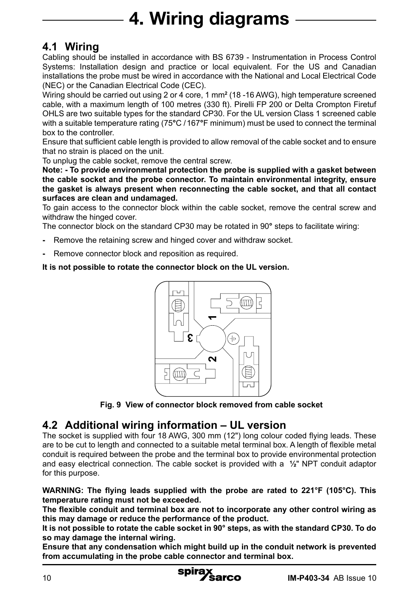# 4. Wiring diagrams

# **4.1 Wiring**

Cabling should be installed in accordance with BS 6739 - Instrumentation in Process Control Systems: Installation design and practice or local equivalent. For the US and Canadian installations the probe must be wired in accordance with the National and Local Electrical Code (NEC) or the Canadian Electrical Code (CEC).

Wiring should be carried out using 2 or 4 core, 1 mm**<sup>2</sup>** (18 -16 AWG), high temperature screened cable, with a maximum length of 100 metres (330 ft). Pirelli FP 200 or Delta Crompton Firetuf OHLS are two suitable types for the standard CP30. For the UL version Class 1 screened cable with a suitable temperature rating (75**°**C /167**°**F minimum) must be used to connect the terminal box to the controller.

Ensure that sufficient cable length is provided to allow removal of the cable socket and to ensure that no strain is placed on the unit.

To unplug the cable socket, remove the central screw.

**Note: - To provide environmental protection the probe is supplied with a gasket between the cable socket and the probe connector. To maintain environmental integrity, ensure the gasket is always present when reconnecting the cable socket, and that all contact surfaces are clean and undamaged.** 

To gain access to the connector block within the cable socket, remove the central screw and withdraw the hinged cover.

The connector block on the standard CP30 may be rotated in 90**°** steps to facilitate wiring:

- **-** Remove the retaining screw and hinged cover and withdraw socket.
- **-** Remove connector block and reposition as required.

**It is not possible to rotate the connector block on the UL version.**



**Fig. 9 View of connector block removed from cable socket**

# **4.2 Additional wiring information – UL version**

The socket is supplied with four 18 AWG, 300 mm (12") long colour coded flying leads. These are to be cut to length and connected to a suitable metal terminal box. A length of flexible metal conduit is required between the probe and the terminal box to provide environmental protection and easy electrical connection. The cable socket is provided with a **½**" NPT conduit adaptor for this purpose.

**WARNING: The flying leads supplied with the probe are rated to 221°F (105°C). This temperature rating must not be exceeded.** 

**The flexible conduit and terminal box are not to incorporate any other control wiring as this may damage or reduce the performance of the product.**

**It is not possible to rotate the cable socket in 90° steps, as with the standard CP30. To do so may damage the internal wiring.**

**Ensure that any condensation which might build up in the conduit network is prevented from accumulating in the probe cable connector and terminal box.**

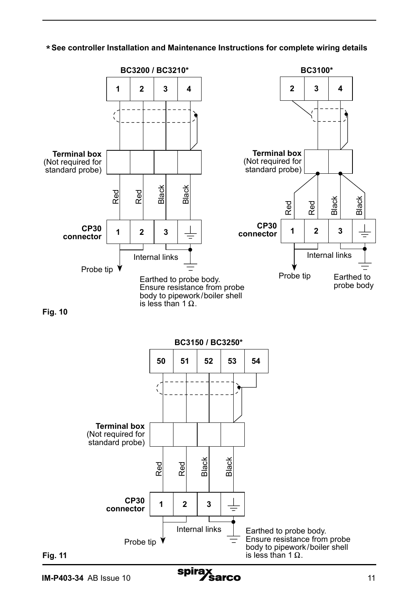

**See controller Installation and Maintenance Instructions for complete wiring details** \*

**Fig. 10**